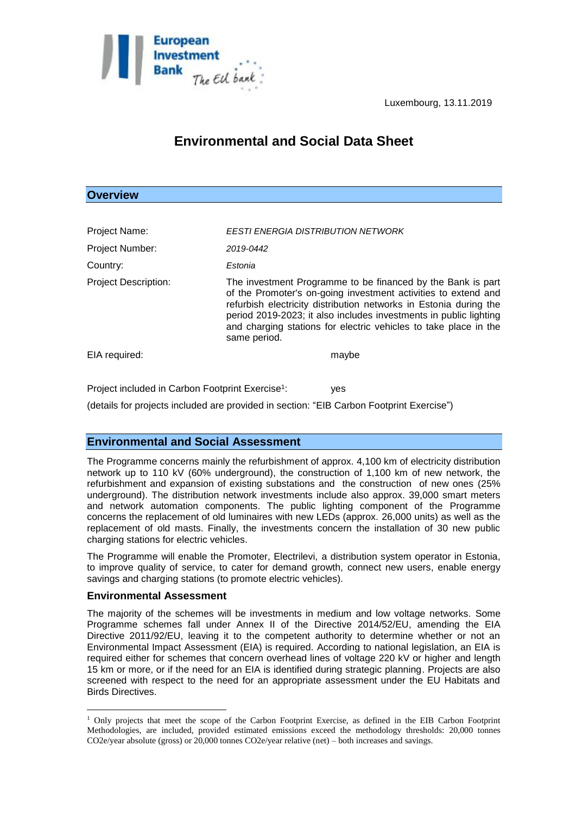

# **Environmental and Social Data Sheet**

## **Overview**

| Project Name:                                                | <b>EESTI ENERGIA DISTRIBUTION NETWORK</b>                                                                                                                                                                                                                                                                                                                   |
|--------------------------------------------------------------|-------------------------------------------------------------------------------------------------------------------------------------------------------------------------------------------------------------------------------------------------------------------------------------------------------------------------------------------------------------|
| <b>Project Number:</b>                                       | 2019-0442                                                                                                                                                                                                                                                                                                                                                   |
| Country:                                                     | Estonia                                                                                                                                                                                                                                                                                                                                                     |
| <b>Project Description:</b>                                  | The investment Programme to be financed by the Bank is part<br>of the Promoter's on-going investment activities to extend and<br>refurbish electricity distribution networks in Estonia during the<br>period 2019-2023; it also includes investments in public lighting<br>and charging stations for electric vehicles to take place in the<br>same period. |
| EIA required:                                                | maybe                                                                                                                                                                                                                                                                                                                                                       |
| Project included in Carbon Footprint Exercise <sup>1</sup> : | ves                                                                                                                                                                                                                                                                                                                                                         |

(details for projects included are provided in section: "EIB Carbon Footprint Exercise")

## **Environmental and Social Assessment**

The Programme concerns mainly the refurbishment of approx. 4,100 km of electricity distribution network up to 110 kV (60% underground), the construction of 1,100 km of new network, the refurbishment and expansion of existing substations and the construction of new ones (25% underground). The distribution network investments include also approx. 39,000 smart meters and network automation components. The public lighting component of the Programme concerns the replacement of old luminaires with new LEDs (approx. 26,000 units) as well as the replacement of old masts. Finally, the investments concern the installation of 30 new public charging stations for electric vehicles.

The Programme will enable the Promoter, Electrilevi, a distribution system operator in Estonia, to improve quality of service, to cater for demand growth, connect new users, enable energy savings and charging stations (to promote electric vehicles).

### **Environmental Assessment**

1

The majority of the schemes will be investments in medium and low voltage networks. Some Programme schemes fall under Annex II of the Directive 2014/52/EU, amending the EIA Directive 2011/92/EU, leaving it to the competent authority to determine whether or not an Environmental Impact Assessment (EIA) is required. According to national legislation, an EIA is required either for schemes that concern overhead lines of voltage 220 kV or higher and length 15 km or more, or if the need for an EIA is identified during strategic planning. Projects are also screened with respect to the need for an appropriate assessment under the EU Habitats and Birds Directives.

<sup>1</sup> Only projects that meet the scope of the Carbon Footprint Exercise, as defined in the EIB Carbon Footprint Methodologies, are included, provided estimated emissions exceed the methodology thresholds: 20,000 tonnes CO2e/year absolute (gross) or 20,000 tonnes CO2e/year relative (net) – both increases and savings.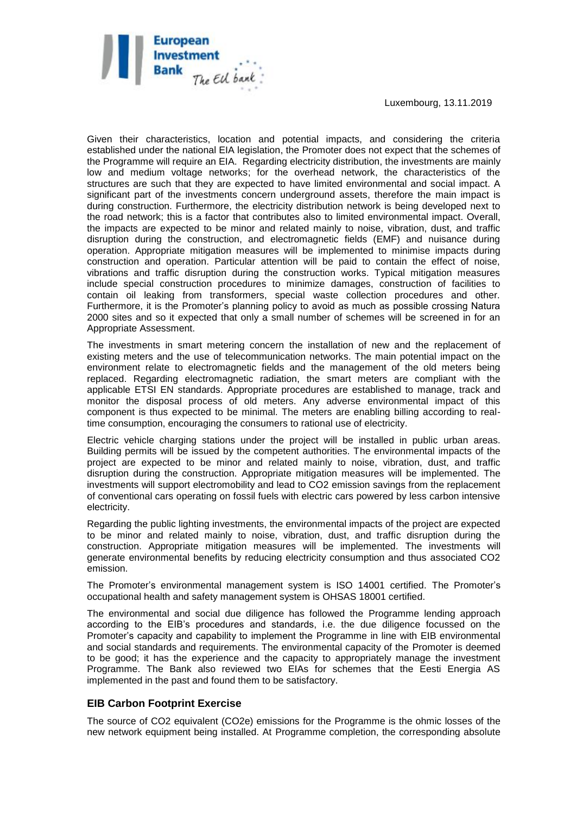Luxembourg, 13.11.2019



Given their characteristics, location and potential impacts, and considering the criteria established under the national EIA legislation, the Promoter does not expect that the schemes of the Programme will require an EIA. Regarding electricity distribution, the investments are mainly low and medium voltage networks; for the overhead network, the characteristics of the structures are such that they are expected to have limited environmental and social impact. A significant part of the investments concern underground assets, therefore the main impact is during construction. Furthermore, the electricity distribution network is being developed next to the road network; this is a factor that contributes also to limited environmental impact. Overall, the impacts are expected to be minor and related mainly to noise, vibration, dust, and traffic disruption during the construction, and electromagnetic fields (EMF) and nuisance during operation. Appropriate mitigation measures will be implemented to minimise impacts during construction and operation. Particular attention will be paid to contain the effect of noise, vibrations and traffic disruption during the construction works. Typical mitigation measures include special construction procedures to minimize damages, construction of facilities to contain oil leaking from transformers, special waste collection procedures and other. Furthermore, it is the Promoter's planning policy to avoid as much as possible crossing Natura 2000 sites and so it expected that only a small number of schemes will be screened in for an Appropriate Assessment.

The investments in smart metering concern the installation of new and the replacement of existing meters and the use of telecommunication networks. The main potential impact on the environment relate to electromagnetic fields and the management of the old meters being replaced. Regarding electromagnetic radiation, the smart meters are compliant with the applicable ETSI EN standards. Appropriate procedures are established to manage, track and monitor the disposal process of old meters. Any adverse environmental impact of this component is thus expected to be minimal. The meters are enabling billing according to realtime consumption, encouraging the consumers to rational use of electricity.

Electric vehicle charging stations under the project will be installed in public urban areas. Building permits will be issued by the competent authorities. The environmental impacts of the project are expected to be minor and related mainly to noise, vibration, dust, and traffic disruption during the construction. Appropriate mitigation measures will be implemented. The investments will support electromobility and lead to CO2 emission savings from the replacement of conventional cars operating on fossil fuels with electric cars powered by less carbon intensive electricity.

Regarding the public lighting investments, the environmental impacts of the project are expected to be minor and related mainly to noise, vibration, dust, and traffic disruption during the construction. Appropriate mitigation measures will be implemented. The investments will generate environmental benefits by reducing electricity consumption and thus associated CO2 emission.

The Promoter's environmental management system is ISO 14001 certified. The Promoter's occupational health and safety management system is OHSAS 18001 certified.

The environmental and social due diligence has followed the Programme lending approach according to the EIB's procedures and standards, i.e. the due diligence focussed on the Promoter's capacity and capability to implement the Programme in line with EIB environmental and social standards and requirements. The environmental capacity of the Promoter is deemed to be good; it has the experience and the capacity to appropriately manage the investment Programme. The Bank also reviewed two EIAs for schemes that the Eesti Energia AS implemented in the past and found them to be satisfactory.

#### **EIB Carbon Footprint Exercise**

The source of CO2 equivalent (CO2e) emissions for the Programme is the ohmic losses of the new network equipment being installed. At Programme completion, the corresponding absolute